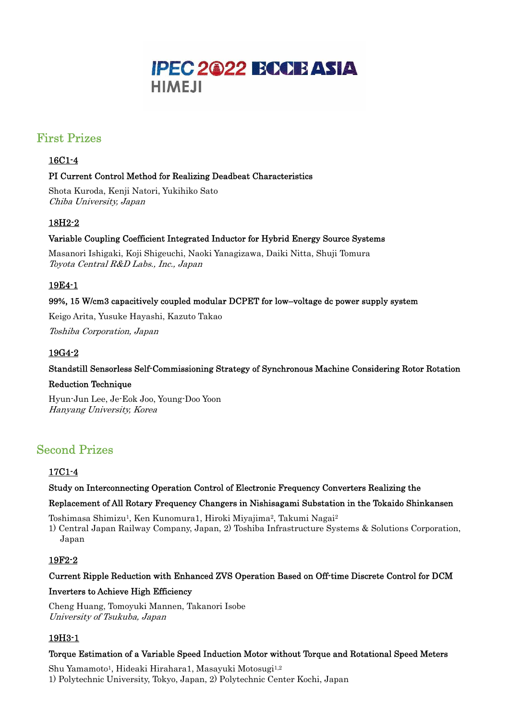

# First Prizes

#### 16C1-4

#### PI Current Control Method for Realizing Deadbeat Characteristics

Shota Kuroda, Kenji Natori, Yukihiko Sato Chiba University, Japan

# 18H2-2

### Variable Coupling Coefficient Integrated Inductor for Hybrid Energy Source Systems

Masanori Ishigaki, Koji Shigeuchi, Naoki Yanagizawa, Daiki Nitta, Shuji Tomura Toyota Central R&D Labs., Inc., Japan

## 19E4-1

#### 99%, 15 W/cm3 capacitively coupled modular DCPET for low–voltage dc power supply system

Keigo Arita, Yusuke Hayashi, Kazuto Takao

Toshiba Corporation, Japan

## 19G4-2

#### Standstill Sensorless Self-Commissioning Strategy of Synchronous Machine Considering Rotor Rotation

#### Reduction Technique

Hyun-Jun Lee, Je-Eok Joo, Young-Doo Yoon Hanyang University, Korea

# Second Prizes

#### 17C1-4

#### Study on Interconnecting Operation Control of Electronic Frequency Converters Realizing the

#### Replacement of All Rotary Frequency Changers in Nishisagami Substation in the Tokaido Shinkansen

Toshimasa Shimizu<sup>1</sup>, Ken Kunomura1, Hiroki Miyajima<sup>2</sup>, Takumi Nagai<sup>2</sup>

1) Central Japan Railway Company, Japan, 2) Toshiba Infrastructure Systems & Solutions Corporation, Japan

#### 19F2-2

#### Current Ripple Reduction with Enhanced ZVS Operation Based on Off-time Discrete Control for DCM

#### Inverters to Achieve High Efficiency

Cheng Huang, Tomoyuki Mannen, Takanori Isobe University of Tsukuba, Japan

## 19H3-1

#### Torque Estimation of a Variable Speed Induction Motor without Torque and Rotational Speed Meters

Shu Yamamoto<sup>1</sup>, Hideaki Hirahara1, Masayuki Motosugi<sup>1,2</sup> 1) Polytechnic University, Tokyo, Japan, 2) Polytechnic Center Kochi, Japan